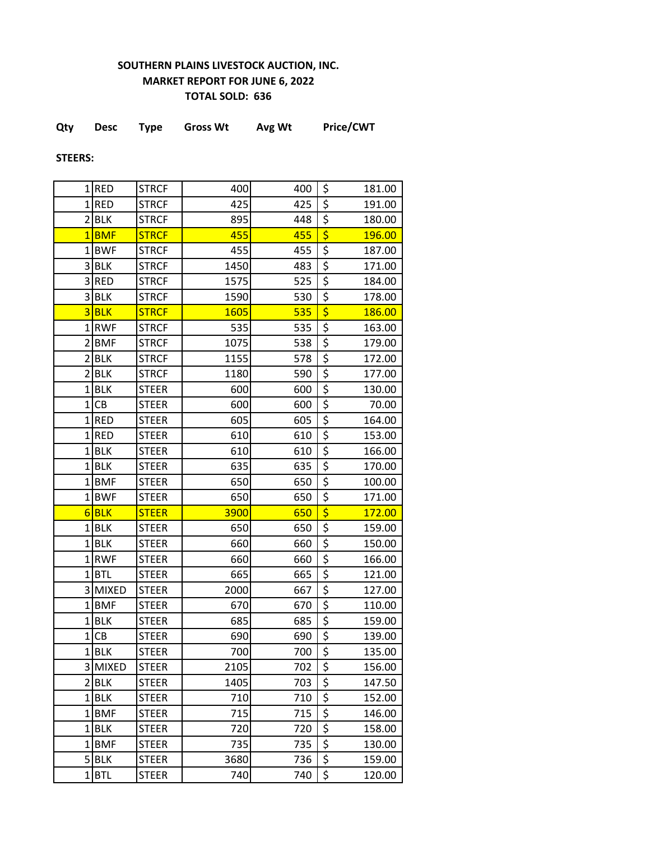## **SOUTHERN PLAINS LIVESTOCK AUCTION, INC. MARKET REPORT FOR JUNE 6, 2022 TOTAL SOLD: 636**

|  | Qty | <b>Desc</b> | Type | <b>Gross Wt</b> | Avg Wt | <b>Price/CWT</b> |
|--|-----|-------------|------|-----------------|--------|------------------|
|--|-----|-------------|------|-----------------|--------|------------------|

**STEERS:**

|                         | $1$ RED    | <b>STRCF</b> | 400  | 400 | \$                                  | 181.00 |
|-------------------------|------------|--------------|------|-----|-------------------------------------|--------|
|                         | $1$ RED    | <b>STRCF</b> | 425  | 425 | \$                                  | 191.00 |
| $\overline{2}$          | <b>BLK</b> | <b>STRCF</b> | 895  | 448 | \$                                  | 180.00 |
| 1                       | <b>BMF</b> | <b>STRCF</b> | 455  | 455 | \$                                  | 196.00 |
| 1                       | <b>BWF</b> | <b>STRCF</b> | 455  | 455 | \$                                  | 187.00 |
| $\overline{\mathbf{3}}$ | <b>BLK</b> | <b>STRCF</b> | 1450 | 483 | \$                                  | 171.00 |
|                         | 3RED       | <b>STRCF</b> | 1575 | 525 | \$                                  | 184.00 |
| $\overline{\mathbf{3}}$ | <b>BLK</b> | <b>STRCF</b> | 1590 | 530 | \$                                  | 178.00 |
| 3                       | <b>BLK</b> | <b>STRCF</b> | 1605 | 535 | \$                                  | 186.00 |
|                         | 1RWF       | <b>STRCF</b> | 535  | 535 | \$                                  | 163.00 |
| $\overline{2}$          | <b>BMF</b> | <b>STRCF</b> | 1075 | 538 | \$                                  | 179.00 |
| $\overline{2}$          | <b>BLK</b> | <b>STRCF</b> | 1155 | 578 | \$                                  | 172.00 |
| $\overline{2}$          | <b>BLK</b> | <b>STRCF</b> | 1180 | 590 | $\overline{\xi}$                    | 177.00 |
|                         | $1$ BLK    | <b>STEER</b> | 600  | 600 | \$                                  | 130.00 |
| $\mathbf{1}$            | CB         | <b>STEER</b> | 600  | 600 | \$                                  | 70.00  |
| $\mathbf 1$             | RED        | <b>STEER</b> | 605  | 605 | \$                                  | 164.00 |
|                         | $1$ RED    | <b>STEER</b> | 610  | 610 | \$                                  | 153.00 |
| $\mathbf{1}$            | <b>BLK</b> | <b>STEER</b> | 610  | 610 | \$                                  | 166.00 |
|                         | $1$ BLK    | <b>STEER</b> | 635  | 635 | \$                                  | 170.00 |
|                         | 1BMF       | <b>STEER</b> | 650  | 650 | \$                                  | 100.00 |
|                         | 1BWF       | <b>STEER</b> | 650  | 650 | \$                                  | 171.00 |
| 6                       | <b>BLK</b> | <b>STEER</b> | 3900 | 650 | $\overline{\boldsymbol{\varsigma}}$ | 172.00 |
| 1                       | <b>BLK</b> | <b>STEER</b> | 650  | 650 | \$                                  | 159.00 |
| $1\vert$                | <b>BLK</b> | <b>STEER</b> | 660  | 660 | \$                                  | 150.00 |
| 1                       | <b>RWF</b> | <b>STEER</b> | 660  | 660 | \$                                  | 166.00 |
|                         | $1$ BTL    | <b>STEER</b> | 665  | 665 | \$                                  | 121.00 |
|                         | 3 MIXED    | <b>STEER</b> | 2000 | 667 | \$                                  | 127.00 |
|                         | 1BMF       | <b>STEER</b> | 670  | 670 | \$                                  | 110.00 |
| $1\vert$                | <b>BLK</b> | <b>STEER</b> | 685  | 685 | \$                                  | 159.00 |
| $\mathbf 1$             | CB         | <b>STEER</b> | 690  | 690 | \$                                  | 139.00 |
|                         | $1$ BLK    | <b>STEER</b> | 700  | 700 | \$                                  | 135.00 |
|                         | 3 MIXED    | <b>STEER</b> | 2105 | 702 | \$                                  | 156.00 |
|                         | 2 BLK      | <b>STEER</b> | 1405 | 703 | \$                                  | 147.50 |
|                         | $1$ BLK    | <b>STEER</b> | 710  | 710 | \$                                  | 152.00 |
|                         | 1BMF       | <b>STEER</b> | 715  | 715 | \$                                  | 146.00 |
|                         | $1$ BLK    | <b>STEER</b> | 720  | 720 | \$                                  | 158.00 |
|                         | 1BMF       | <b>STEER</b> | 735  | 735 | \$                                  | 130.00 |
|                         | $5$ BLK    | <b>STEER</b> | 3680 | 736 | \$                                  | 159.00 |
|                         | $1$ $BTL$  | <b>STEER</b> | 740  | 740 | \$                                  | 120.00 |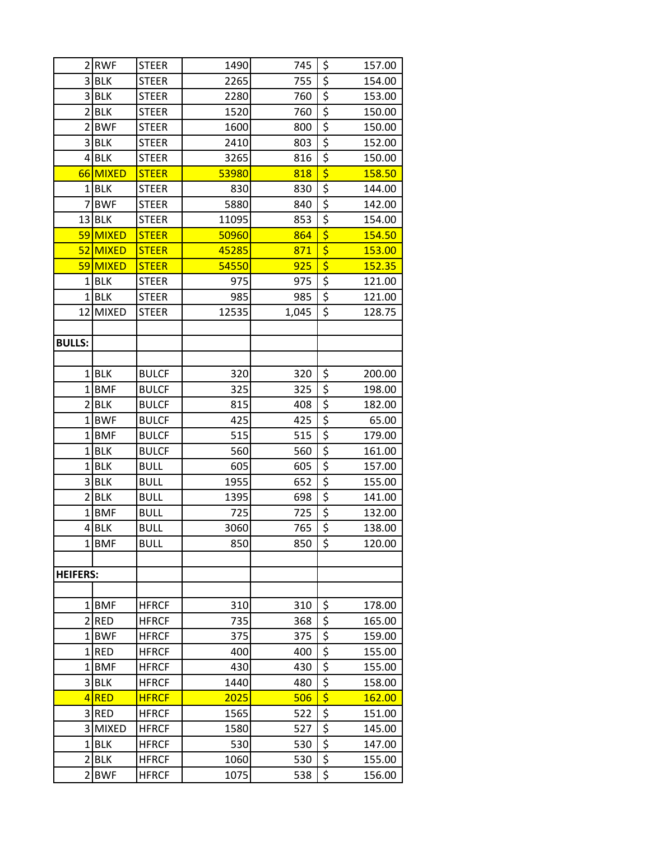| $\overline{2}$  | <b>RWF</b>              | <b>STEER</b>                 | 1490        | 745        | \$                                    | 157.00           |
|-----------------|-------------------------|------------------------------|-------------|------------|---------------------------------------|------------------|
|                 | 3 BLK                   | <b>STEER</b>                 | 2265        | 755        | \$                                    | 154.00           |
|                 | 3 BLK                   | <b>STEER</b>                 | 2280        | 760        | $\overline{\xi}$                      | 153.00           |
|                 | $2$ <b>BLK</b>          | <b>STEER</b>                 | 1520        | 760        | $\overline{\xi}$                      | 150.00           |
| $\overline{2}$  | <b>BWF</b>              | <b>STEER</b>                 | 1600        | 800        | $\overline{\xi}$                      | 150.00           |
|                 | 3BLK                    | <b>STEER</b>                 | 2410        | 803        | \$                                    | 152.00           |
|                 | $4$ BLK                 | <b>STEER</b>                 | 3265        | 816        | $\overline{\xi}$                      | 150.00           |
| 66              | MIXED                   | <b>STEER</b>                 | 53980       | 818        | $\overline{\boldsymbol{\varsigma}}$   | 158.50           |
|                 | $1$ BLK                 | <b>STEER</b>                 | 830         | 830        | \$                                    | 144.00           |
| 7               | <b>BWF</b>              | <b>STEER</b>                 | 5880        | 840        | $\overline{\xi}$                      | 142.00           |
|                 | $13$ BLK                | <b>STEER</b>                 | 11095       | 853        | \$                                    | 154.00           |
|                 | 59 MIXED                | <b>STEER</b>                 | 50960       | 864        | \$                                    | 154.50           |
| 52              | <b>MIXED</b>            | <b>STEER</b>                 | 45285       | 871        | \$                                    | 153.00           |
|                 | 59 MIXED                | <b>STEER</b>                 | 54550       | 925        | $\overline{\boldsymbol{\varsigma}}$   | 152.35           |
| $\mathbf{1}$    | <b>BLK</b>              | <b>STEER</b>                 | 975         | 975        | $\overline{\xi}$                      | 121.00           |
|                 | $1$ BLK                 | <b>STEER</b>                 | 985         | 985        | \$                                    | 121.00           |
| 12              | <b>MIXED</b>            | <b>STEER</b>                 | 12535       | 1,045      | $\overline{\xi}$                      | 128.75           |
|                 |                         |                              |             |            |                                       |                  |
| <b>BULLS:</b>   |                         |                              |             |            |                                       |                  |
|                 |                         |                              |             |            |                                       |                  |
|                 | $1$ BLK                 | <b>BULCF</b>                 | 320         | 320        | \$                                    | 200.00           |
| $1\vert$        | <b>BMF</b>              | <b>BULCF</b>                 | 325         | 325        | $\frac{5}{5}$                         | 198.00           |
|                 | $2$ <b>BLK</b>          | <b>BULCF</b>                 | 815         | 408        |                                       | 182.00           |
|                 | 1BWF                    | <b>BULCF</b>                 | 425         | 425        | $\overline{\xi}$                      | 65.00            |
| 1               | <b>BMF</b>              | <b>BULCF</b>                 | 515         | 515        | $\overline{\xi}$                      | 179.00           |
|                 | $1$ BLK                 | <b>BULCF</b>                 | 560         | 560        | $\overline{\xi}$                      | 161.00           |
| $\mathbf{1}$    | <b>BLK</b>              | <b>BULL</b>                  | 605         | 605        | \$                                    | 157.00           |
|                 | 3 BLK                   | <b>BULL</b>                  | 1955        | 652        | $\overline{\mathbf{S}}$               | 155.00           |
| $\overline{2}$  | <b>BLK</b>              | <b>BULL</b>                  | 1395        | 698        | $\overline{\xi}$                      | 141.00           |
| 1               | <b>BMF</b>              | <b>BULL</b>                  | 725         | 725        | $\overline{\xi}$                      | 132.00           |
|                 | $4$ BLK                 | <b>BULL</b>                  | 3060        | 765        | $\overline{\xi}$                      | 138.00           |
|                 | 1BMF                    | <b>BULL</b>                  | 850         | 850        | \$                                    | 120.00           |
|                 |                         |                              |             |            |                                       |                  |
| <b>HEIFERS:</b> |                         |                              |             |            |                                       |                  |
|                 |                         |                              |             |            |                                       |                  |
|                 | $1$ <b>BMF</b>          | <b>HFRCF</b>                 | 310         | 310        | \$                                    | 178.00           |
|                 | 2RED                    | <b>HFRCF</b>                 | 735         | 368        | \$                                    | 165.00           |
|                 | 1BWF                    | <b>HFRCF</b>                 | 375         | 375        | $\overline{\boldsymbol{\zeta}}$<br>\$ | 159.00           |
|                 | $1$ RED                 | <b>HFRCF</b>                 | 400         | 400        | \$                                    | 155.00           |
|                 | $1$ <b>BMF</b><br>3 BLK | <b>HFRCF</b><br><b>HFRCF</b> | 430<br>1440 | 430        | \$                                    | 155.00           |
|                 | 4RED                    |                              | 2025        | 480<br>506 | \$                                    | 158.00<br>162.00 |
|                 | 3RED                    | <b>HFRCF</b><br><b>HFRCF</b> | 1565        |            | \$                                    |                  |
|                 | 3 MIXED                 | <b>HFRCF</b>                 | 1580        | 522        | $\overline{\xi}$                      | 151.00           |
|                 | $1$ BLK                 | <b>HFRCF</b>                 | 530         | 527<br>530 | \$                                    | 145.00<br>147.00 |
| $\overline{2}$  | <b>BLK</b>              | <b>HFRCF</b>                 |             |            | $\overline{\boldsymbol{\zeta}}$       |                  |
|                 |                         |                              | 1060        | 530        |                                       | 155.00           |
| $\overline{2}$  | <b>BWF</b>              | <b>HFRCF</b>                 | 1075        | 538        | \$                                    | 156.00           |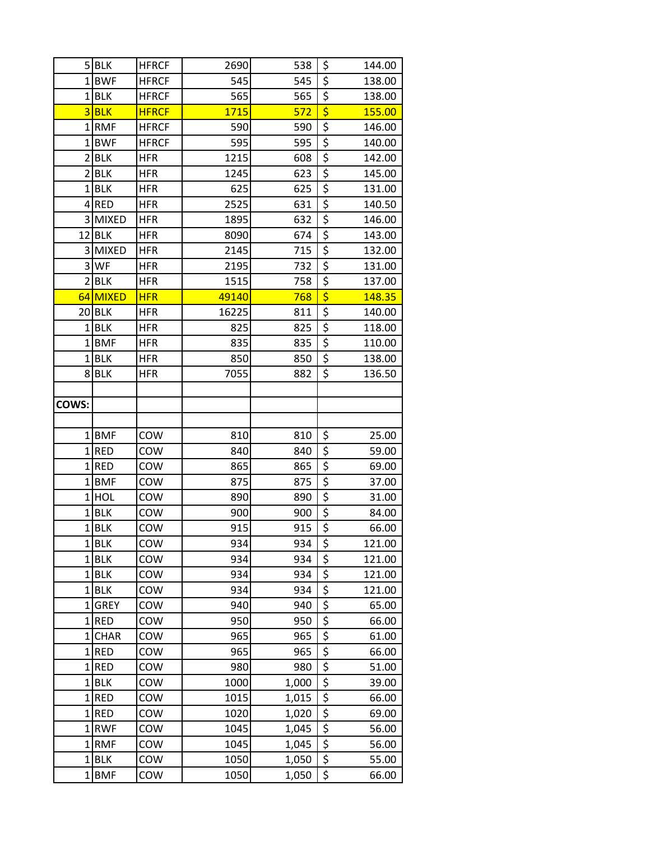|                | 5BLK            | <b>HFRCF</b> | 2690       | 538        | \$                              | 144.00         |
|----------------|-----------------|--------------|------------|------------|---------------------------------|----------------|
|                | $1$ <b>BWF</b>  | <b>HFRCF</b> | 545        | 545        | $\overline{\boldsymbol{\zeta}}$ | 138.00         |
|                | $1$ BLK         | <b>HFRCF</b> | 565        | 565        | \$                              | 138.00         |
|                | $3$ BLK         | <b>HFRCF</b> | 1715       | 572        | \$                              | 155.00         |
|                | 1RMF            | <b>HFRCF</b> | 590        | 590        | $\overline{\xi}$                | 146.00         |
| 1              | <b>BWF</b>      | <b>HFRCF</b> | 595        | 595        | $\overline{\xi}$                | 140.00         |
|                | $2$ <b>BLK</b>  | <b>HFR</b>   | 1215       | 608        | $\overline{\xi}$                | 142.00         |
| 2              | <b>BLK</b>      | <b>HFR</b>   | 1245       | 623        | \$                              | 145.00         |
| 1              | BLK             | <b>HFR</b>   | 625        | 625        | $\overline{\boldsymbol{\zeta}}$ | 131.00         |
|                | 4RED            | <b>HFR</b>   | 2525       | 631        | $\overline{\boldsymbol{\zeta}}$ | 140.50         |
|                | 3 MIXED         | <b>HFR</b>   | 1895       | 632        | $\overline{\xi}$                | 146.00         |
|                | $12$ BLK        | <b>HFR</b>   | 8090       | 674        | $\overline{\xi}$                | 143.00         |
| 3              | <b>MIXED</b>    | <b>HFR</b>   | 2145       | 715        | $\overline{\boldsymbol{\zeta}}$ | 132.00         |
|                | 3 WF            | <b>HFR</b>   | 2195       | 732        | $\overline{\boldsymbol{\zeta}}$ | 131.00         |
| $\overline{2}$ | <b>BLK</b>      | <b>HFR</b>   | 1515       | 758        | $\overline{\boldsymbol{\zeta}}$ | 137.00         |
|                | 64 MIXED        | <b>HFR</b>   | 49140      | 768        | \$                              | 148.35         |
| 20             | <b>BLK</b>      | <b>HFR</b>   | 16225      | 811        | $\overline{\xi}$                | 140.00         |
| 1              | BLK             | <b>HFR</b>   | 825        | 825        | $\overline{\xi}$                | 118.00         |
|                | $1$ <b>BMF</b>  | <b>HFR</b>   | 835        | 835        | \$                              | 110.00         |
| 1              | <b>BLK</b>      | <b>HFR</b>   | 850        | 850        | \$                              | 138.00         |
|                | 8BLK            | <b>HFR</b>   | 7055       | 882        | \$                              | 136.50         |
|                |                 |              |            |            |                                 |                |
| COWS:          |                 |              |            |            |                                 |                |
|                |                 |              |            |            |                                 |                |
| 1              | <b>BMF</b>      | COW          | 810        | 810        | \$                              | 25.00          |
|                | $1$ RED         | COW          | 840        | 840        | $\overline{\xi}$                | 59.00          |
|                | 1RED            | COW          | 865        | 865        | $\overline{\boldsymbol{\zeta}}$ | 69.00          |
|                | 1BMF            | COW          | 875        | 875        | \$<br>$\overline{\xi}$          | 37.00          |
|                | $1$ HOL         | COW          | 890        | 890        | $\overline{\xi}$                | 31.00          |
|                | $1$ BLK<br>1BLK | COW<br>COW   | 900<br>915 | 900<br>915 | $\overline{\xi}$                | 84.00<br>66.00 |
| 1              | <b>BLK</b>      | COW          | 934        | 934        | \$                              | 121.00         |
|                | $1$ BLK         | COW          | 934        | 934        | $\overline{\xi}$                | 121.00         |
|                | 1BLK            | COW          | 934        | 934        | $\overline{\boldsymbol{\zeta}}$ | 121.00         |
|                | 1BLK            | COW          | 934        | 934        | \$                              | 121.00         |
| $1\vert$       | <b>GREY</b>     | COW          | 940        | 940        | $\overline{\xi}$                | 65.00          |
|                | 1RED            | COW          | 950        | 950        | $\overline{\xi}$                | 66.00          |
|                | 1CHAR           | COW          | 965        | 965        | \$                              | 61.00          |
| 1              | <b>RED</b>      | COW          | 965        | 965        | $\overline{\boldsymbol{\zeta}}$ | 66.00          |
|                | $1$ RED         | COW          | 980        | 980        | \$                              | 51.00          |
| 1              | <b>BLK</b>      | COW          | 1000       | 1,000      | \$                              | 39.00          |
|                | $1$ RED         | COW          | 1015       | 1,015      | $\overline{\xi}$                | 66.00          |
|                | 1RED            | COW          | 1020       | 1,020      | $\overline{\boldsymbol{\zeta}}$ | 69.00          |
| 1              | <b>RWF</b>      | COW          | 1045       | 1,045      | $\overline{\xi}$                | 56.00          |
|                | 1RMF            | COW          | 1045       | 1,045      | \$                              | 56.00          |
| $\mathbf{1}$   | <b>BLK</b>      | COW          | 1050       | 1,050      | $\overline{\boldsymbol{\zeta}}$ | 55.00          |
| $1\vert$       | <b>BMF</b>      | COW          | 1050       | 1,050      | \$                              | 66.00          |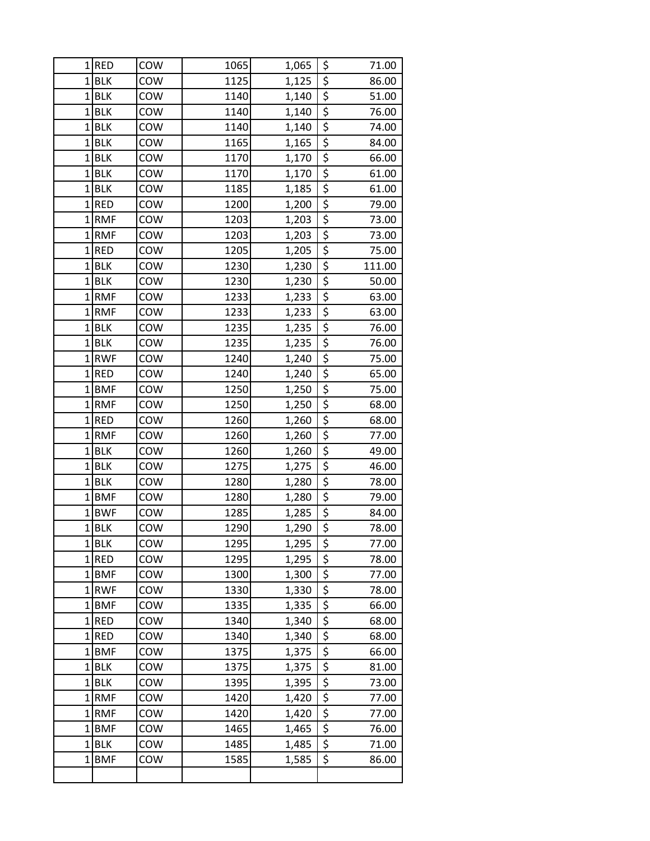|                | $1$ RED        | COW        | 1065         | 1,065          | \$                                        | 71.00          |
|----------------|----------------|------------|--------------|----------------|-------------------------------------------|----------------|
|                | $1$ BLK        | COW        | 1125         | 1,125          | $\overline{\xi}$                          | 86.00          |
|                | $1$ BLK        | COW        | 1140         | 1,140          | $\overline{\xi}$                          | 51.00          |
| $\mathbf{1}$   | BLK            | COW        | 1140         | 1,140          | \$                                        | 76.00          |
| $\mathbf{1}$   | <b>BLK</b>     | COW        | 1140         | 1,140          | $\overline{\xi}$                          | 74.00          |
| 1              | <b>BLK</b>     | COW        | 1165         | 1,165          | $\overline{\xi}$                          | 84.00          |
|                | $1$ BLK        | COW        | 1170         | 1,170          | \$                                        | 66.00          |
| $\mathbf 1$    | BLK            | COW        | 1170         | 1,170          | $\frac{1}{5}$                             | 61.00          |
|                | $1$ BLK        | COW        | 1185         | 1,185          | \$                                        | 61.00          |
| $\mathbf 1$    | <b>RED</b>     | COW        | 1200         | 1,200          | $\overline{\xi}$                          | 79.00          |
|                | 1RMF           | COW        | 1203         | 1,203          | $\overline{\boldsymbol{\zeta}}$           | 73.00          |
|                | 1RMF           | COW        | 1203         | 1,203          | $\overline{\xi}$                          | 73.00          |
| 1              | RED            | COW        | 1205         | 1,205          | \$                                        | 75.00          |
| $\mathbf{1}$   | BLK            | COW        | 1230         | 1,230          | \$                                        | 111.00         |
| $\mathbf 1$    | <b>BLK</b>     | COW        | 1230         | 1,230          | \$                                        | 50.00          |
|                | $1$ RMF        | COW        | 1233         | 1,233          | \$                                        | 63.00          |
|                | $1$ RMF        | COW        | 1233         | 1,233          | $\overline{\boldsymbol{\zeta}}$           | 63.00          |
|                | $1$ BLK        | COW        | 1235         | 1,235          | $\overline{\xi}$                          | 76.00          |
| $\mathbf 1$    | <b>BLK</b>     | COW        | 1235         | 1,235          | $\overline{\xi}$                          | 76.00          |
| 1              | <b>RWF</b>     | COW        | 1240         | 1,240          | \$                                        | 75.00          |
| 1              | RED            | COW        | 1240         | 1,240          | $\overline{\boldsymbol{\zeta}}$           | 65.00          |
|                | $1$ <b>BMF</b> | COW        | 1250         | 1,250          | $\overline{\boldsymbol{\zeta}}$           | 75.00          |
|                | 1RMF           | COW        | 1250         | 1,250          | $\overline{\boldsymbol{\zeta}}$           | 68.00          |
| $\overline{1}$ | RED            | COW        | 1260         | 1,260          | $\overline{\xi}$                          | 68.00          |
| 1              | RMF            | COW        | 1260         | 1,260          | \$                                        | 77.00          |
|                | $1$ BLK        | COW        | 1260         | 1,260          | $\frac{5}{5}$                             | 49.00          |
| $\mathbf 1$    | <b>BLK</b>     | COW        | 1275         | 1,275          |                                           | 46.00          |
| 1              | <b>BLK</b>     | COW        | 1280         | 1,280          | \$                                        | 78.00          |
| $\overline{1}$ | <b>BMF</b>     | COW        | 1280         | 1,280          | $\overline{\xi}$                          | 79.00          |
| 1              | <b>BWF</b>     | COW        | 1285         | 1,285          | $\overline{\xi}$                          | 84.00          |
|                | 1BLK           | COW        | 1290         | 1,290          | $\overline{\boldsymbol{\varsigma}}$       | 78.00          |
|                | 1BLK           | COW        | 1295         | 1,295          | \$                                        | 77.00          |
|                | 1RED           | COW        | 1295         | 1,295          | $\overline{\xi}$                          | 78.00          |
|                | 1BMF           | COW        | 1300         | 1,300          | \$                                        | 77.00          |
|                | 1RWF           | COW        | 1330         | 1,330          | \$<br>$\overline{\boldsymbol{\zeta}}$     | 78.00          |
|                | 1BMF           | COW        | 1335         | 1,335          |                                           | 66.00          |
| 1              | $1$ RED<br>RED | COW<br>COW | 1340<br>1340 | 1,340<br>1,340 | \$<br>$\overline{\boldsymbol{\varsigma}}$ | 68.00<br>68.00 |
| 1              | <b>BMF</b>     | COW        | 1375         | 1,375          | \$                                        | 66.00          |
|                | $1$ BLK        | COW        | 1375         | 1,375          | \$                                        | 81.00          |
| 1              | <b>BLK</b>     | COW        | 1395         | 1,395          | $\overline{\boldsymbol{\zeta}}$           | 73.00          |
|                | 1RMF           | COW        | 1420         | 1,420          | \$                                        | 77.00          |
|                | 1RMF           | COW        | 1420         | 1,420          | \$                                        | 77.00          |
| 1              | <b>BMF</b>     | COW        | 1465         | 1,465          | \$                                        | 76.00          |
|                | 1BLK           | COW        | 1485         | 1,485          | $\overline{\boldsymbol{\zeta}}$           | 71.00          |
| 1              | <b>BMF</b>     | COW        | 1585         | 1,585          | $\overline{\xi}$                          | 86.00          |
|                |                |            |              |                |                                           |                |
|                |                |            |              |                |                                           |                |